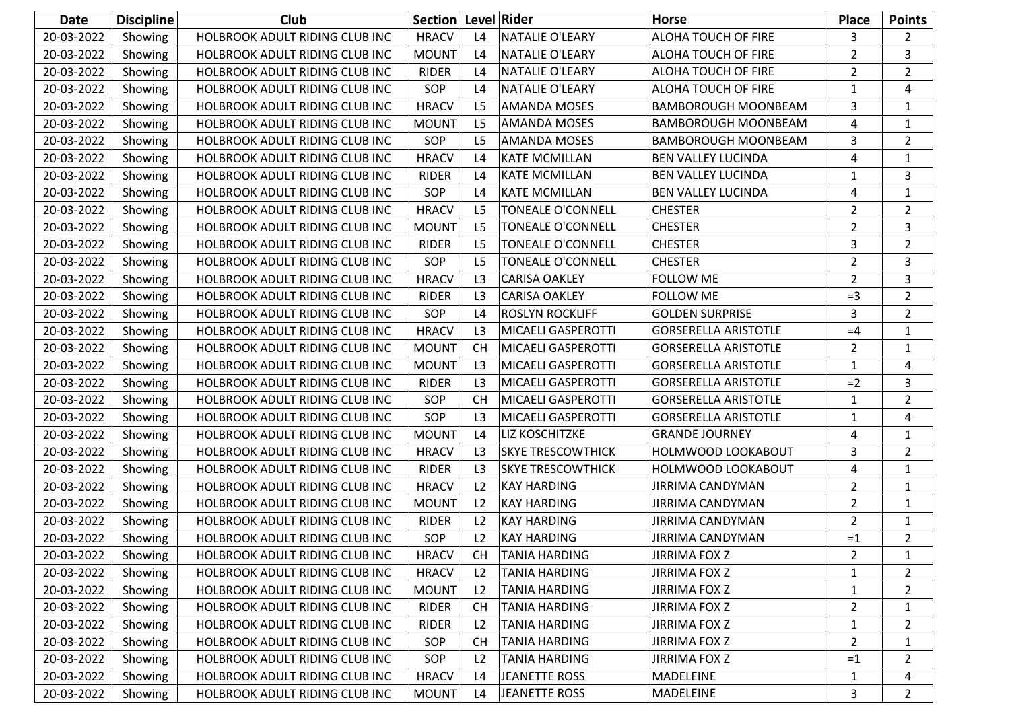| <b>Date</b> | <b>Discipline</b> | <b>Club</b>                    | Section   Level   Rider |                |                          | Horse                       | <b>Place</b>   | <b>Points</b>  |
|-------------|-------------------|--------------------------------|-------------------------|----------------|--------------------------|-----------------------------|----------------|----------------|
| 20-03-2022  | Showing           | HOLBROOK ADULT RIDING CLUB INC | <b>HRACV</b>            | L4             | <b>NATALIE O'LEARY</b>   | ALOHA TOUCH OF FIRE         | 3              | $\overline{2}$ |
| 20-03-2022  | Showing           | HOLBROOK ADULT RIDING CLUB INC | <b>MOUNT</b>            | L4             | <b>NATALIE O'LEARY</b>   | ALOHA TOUCH OF FIRE         | $\overline{2}$ | 3              |
| 20-03-2022  | Showing           | HOLBROOK ADULT RIDING CLUB INC | <b>RIDER</b>            | L4             | <b>NATALIE O'LEARY</b>   | ALOHA TOUCH OF FIRE         | $\overline{2}$ | $\overline{2}$ |
| 20-03-2022  | Showing           | HOLBROOK ADULT RIDING CLUB INC | SOP                     | L4             | <b>NATALIE O'LEARY</b>   | ALOHA TOUCH OF FIRE         | $\mathbf{1}$   | 4              |
| 20-03-2022  | Showing           | HOLBROOK ADULT RIDING CLUB INC | <b>HRACV</b>            | L <sub>5</sub> | <b>AMANDA MOSES</b>      | <b>BAMBOROUGH MOONBEAM</b>  | 3              | $\mathbf{1}$   |
| 20-03-2022  | Showing           | HOLBROOK ADULT RIDING CLUB INC | <b>MOUNT</b>            | L5             | <b>AMANDA MOSES</b>      | <b>BAMBOROUGH MOONBEAM</b>  | 4              | $\mathbf{1}$   |
| 20-03-2022  | Showing           | HOLBROOK ADULT RIDING CLUB INC | SOP                     | L <sub>5</sub> | <b>AMANDA MOSES</b>      | <b>BAMBOROUGH MOONBEAM</b>  | 3              | $\overline{2}$ |
| 20-03-2022  | Showing           | HOLBROOK ADULT RIDING CLUB INC | <b>HRACV</b>            | L4             | <b>KATE MCMILLAN</b>     | <b>BEN VALLEY LUCINDA</b>   | 4              | 1              |
| 20-03-2022  | Showing           | HOLBROOK ADULT RIDING CLUB INC | <b>RIDER</b>            | L4             | <b>KATE MCMILLAN</b>     | <b>BEN VALLEY LUCINDA</b>   | $\mathbf{1}$   | 3              |
| 20-03-2022  | Showing           | HOLBROOK ADULT RIDING CLUB INC | SOP                     | L4             | <b>KATE MCMILLAN</b>     | <b>BEN VALLEY LUCINDA</b>   | 4              | $\mathbf{1}$   |
| 20-03-2022  | Showing           | HOLBROOK ADULT RIDING CLUB INC | <b>HRACV</b>            | L <sub>5</sub> | <b>TONEALE O'CONNELL</b> | <b>CHESTER</b>              | $\overline{2}$ | $\overline{2}$ |
| 20-03-2022  | Showing           | HOLBROOK ADULT RIDING CLUB INC | <b>MOUNT</b>            | L <sub>5</sub> | TONEALE O'CONNELL        | <b>CHESTER</b>              | $\overline{2}$ | 3              |
| 20-03-2022  | Showing           | HOLBROOK ADULT RIDING CLUB INC | <b>RIDER</b>            | L <sub>5</sub> | <b>TONEALE O'CONNELL</b> | <b>CHESTER</b>              | 3              | $\overline{2}$ |
| 20-03-2022  | Showing           | HOLBROOK ADULT RIDING CLUB INC | SOP                     | L <sub>5</sub> | <b>TONEALE O'CONNELL</b> | <b>CHESTER</b>              | $\overline{2}$ | 3              |
| 20-03-2022  | Showing           | HOLBROOK ADULT RIDING CLUB INC | <b>HRACV</b>            | L3             | <b>CARISA OAKLEY</b>     | <b>FOLLOW ME</b>            | $\overline{2}$ | 3              |
| 20-03-2022  | Showing           | HOLBROOK ADULT RIDING CLUB INC | <b>RIDER</b>            | L <sub>3</sub> | <b>CARISA OAKLEY</b>     | <b>FOLLOW ME</b>            | $=3$           | $\overline{2}$ |
| 20-03-2022  | Showing           | HOLBROOK ADULT RIDING CLUB INC | SOP                     | L4             | ROSLYN ROCKLIFF          | <b>GOLDEN SURPRISE</b>      | 3              | $\overline{2}$ |
| 20-03-2022  | Showing           | HOLBROOK ADULT RIDING CLUB INC | <b>HRACV</b>            | L <sub>3</sub> | MICAELI GASPEROTTI       | <b>GORSERELLA ARISTOTLE</b> | $=4$           | 1              |
| 20-03-2022  | Showing           | HOLBROOK ADULT RIDING CLUB INC | <b>MOUNT</b>            | <b>CH</b>      | MICAELI GASPEROTTI       | <b>GORSERELLA ARISTOTLE</b> | $\overline{2}$ | 1              |
| 20-03-2022  | Showing           | HOLBROOK ADULT RIDING CLUB INC | <b>MOUNT</b>            | L3             | MICAELI GASPEROTTI       | <b>GORSERELLA ARISTOTLE</b> | $\mathbf{1}$   | 4              |
| 20-03-2022  | Showing           | HOLBROOK ADULT RIDING CLUB INC | <b>RIDER</b>            | L <sub>3</sub> | MICAELI GASPEROTTI       | <b>GORSERELLA ARISTOTLE</b> | $=2$           | 3              |
| 20-03-2022  | Showing           | HOLBROOK ADULT RIDING CLUB INC | SOP                     | <b>CH</b>      | MICAELI GASPEROTTI       | <b>GORSERELLA ARISTOTLE</b> | 1              | $\overline{2}$ |
| 20-03-2022  | Showing           | HOLBROOK ADULT RIDING CLUB INC | SOP                     | L <sub>3</sub> | MICAELI GASPEROTTI       | <b>GORSERELLA ARISTOTLE</b> | $\mathbf{1}$   | 4              |
| 20-03-2022  | Showing           | HOLBROOK ADULT RIDING CLUB INC | <b>MOUNT</b>            | L4             | LIZ KOSCHITZKE           | <b>GRANDE JOURNEY</b>       | 4              | $\mathbf{1}$   |
| 20-03-2022  | Showing           | HOLBROOK ADULT RIDING CLUB INC | <b>HRACV</b>            | L3             | <b>SKYE TRESCOWTHICK</b> | HOLMWOOD LOOKABOUT          | 3              | $\overline{2}$ |
| 20-03-2022  | Showing           | HOLBROOK ADULT RIDING CLUB INC | <b>RIDER</b>            | L <sub>3</sub> | <b>SKYE TRESCOWTHICK</b> | HOLMWOOD LOOKABOUT          | 4              | $\mathbf{1}$   |
| 20-03-2022  | Showing           | HOLBROOK ADULT RIDING CLUB INC | <b>HRACV</b>            | L2             | <b>KAY HARDING</b>       | <b>JIRRIMA CANDYMAN</b>     | $\overline{2}$ | 1              |
| 20-03-2022  | Showing           | HOLBROOK ADULT RIDING CLUB INC | <b>MOUNT</b>            | L2             | <b>KAY HARDING</b>       | <b>JIRRIMA CANDYMAN</b>     | $\overline{2}$ | 1              |
| 20-03-2022  | Showing           | HOLBROOK ADULT RIDING CLUB INC | <b>RIDER</b>            | L2             | <b>KAY HARDING</b>       | <b>JIRRIMA CANDYMAN</b>     | $\overline{2}$ | $\mathbf{1}$   |
| 20-03-2022  | Showing           | HOLBROOK ADULT RIDING CLUB INC | SOP                     | L2             | <b>KAY HARDING</b>       | JIRRIMA CANDYMAN            | $=1$           | $\overline{2}$ |
| 20-03-2022  | Showing           | HOLBROOK ADULT RIDING CLUB INC | <b>HRACV</b>            | <b>CH</b>      | <b>TANIA HARDING</b>     | <b>JIRRIMA FOX Z</b>        | 2              | $\mathbf{1}$   |
| 20-03-2022  | Showing           | HOLBROOK ADULT RIDING CLUB INC | <b>HRACV</b>            | L2             | <b>TANIA HARDING</b>     | <b>JIRRIMA FOX Z</b>        | 1              | 2              |
| 20-03-2022  | Showing           | HOLBROOK ADULT RIDING CLUB INC | <b>MOUNT</b>            | L2             | <b>TANIA HARDING</b>     | <b>JIRRIMA FOX Z</b>        | $\mathbf{1}$   | $\overline{2}$ |
| 20-03-2022  | Showing           | HOLBROOK ADULT RIDING CLUB INC | <b>RIDER</b>            | <b>CH</b>      | <b>TANIA HARDING</b>     | <b>JIRRIMA FOX Z</b>        | $\overline{2}$ | 1              |
| 20-03-2022  | Showing           | HOLBROOK ADULT RIDING CLUB INC | <b>RIDER</b>            | L2             | <b>TANIA HARDING</b>     | <b>JIRRIMA FOX Z</b>        | 1              | $\overline{2}$ |
| 20-03-2022  | Showing           | HOLBROOK ADULT RIDING CLUB INC | SOP                     | <b>CH</b>      | <b>TANIA HARDING</b>     | <b>JIRRIMA FOX Z</b>        | $\overline{2}$ | 1              |
| 20-03-2022  | Showing           | HOLBROOK ADULT RIDING CLUB INC | SOP                     | L2             | <b>TANIA HARDING</b>     | <b>JIRRIMA FOX Z</b>        | $=1$           | 2              |
| 20-03-2022  | Showing           | HOLBROOK ADULT RIDING CLUB INC | <b>HRACV</b>            | L4             | <b>JEANETTE ROSS</b>     | MADELEINE                   | $\mathbf{1}$   | 4              |
| 20-03-2022  | Showing           | HOLBROOK ADULT RIDING CLUB INC | <b>MOUNT</b>            | L4             | <b>JEANETTE ROSS</b>     | MADELEINE                   | 3              | $\overline{2}$ |